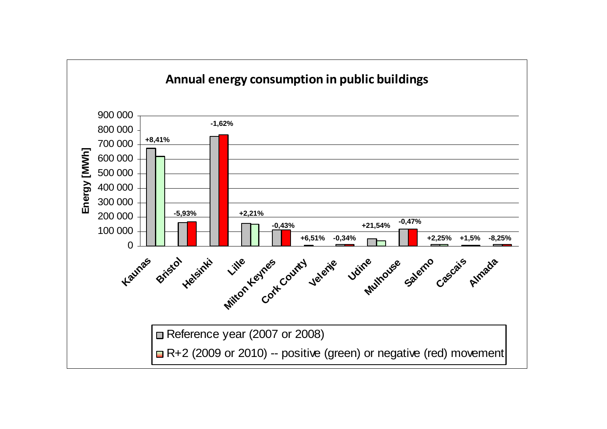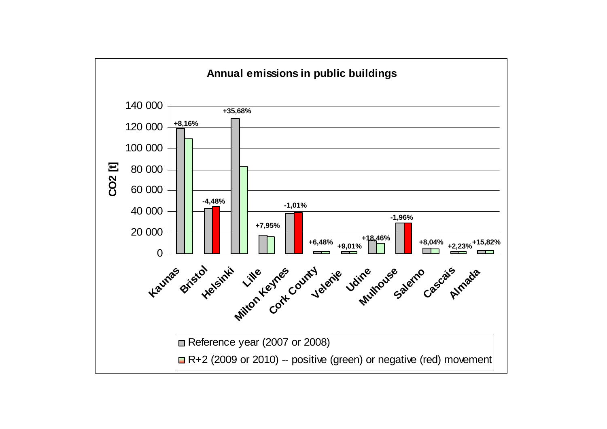